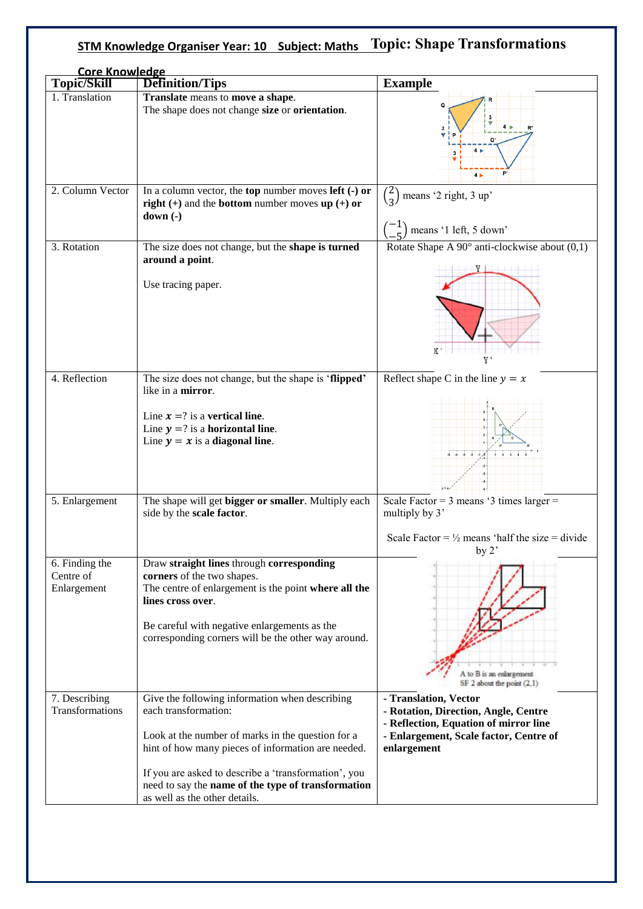## **STM Knowledge Organiser Year: 10 Subject: Maths Topic: Shape Transformations**

| <b>Core Knowledge</b>                      |                                                                                                                                                                                                                                                                                                                                  |                                                                                                                                                                 |
|--------------------------------------------|----------------------------------------------------------------------------------------------------------------------------------------------------------------------------------------------------------------------------------------------------------------------------------------------------------------------------------|-----------------------------------------------------------------------------------------------------------------------------------------------------------------|
| <b>Topic/Skill</b><br>1. Translation       | Definition/Tips                                                                                                                                                                                                                                                                                                                  | <b>Example</b>                                                                                                                                                  |
|                                            | Translate means to move a shape.<br>The shape does not change size or orientation.                                                                                                                                                                                                                                               | $\overline{\mathbf{R}}$<br>Q<br>4 <sub>b</sub><br>$\mathbf{3}$<br>4 <sub>1</sub>                                                                                |
| 2. Column Vector                           | In a column vector, the top number moves left $\left(\text{-}\right)$ or<br>right $(+)$ and the <b>bottom</b> number moves $up (+)$ or<br>$down(-)$                                                                                                                                                                              | $\binom{Z}{3}$<br>means '2 right, 3 up'<br>means '1 left, 5 down'                                                                                               |
| 3. Rotation                                | The size does not change, but the shape is turned<br>around a point.<br>Use tracing paper.                                                                                                                                                                                                                                       | Rotate Shape A $90^\circ$ anti-clockwise about $(0,1)$<br>X,<br>v.                                                                                              |
| 4. Reflection                              | The size does not change, but the shape is 'flipped'<br>like in a mirror.<br>Line $x = ?$ is a vertical line.<br>Line $y = ?$ is a horizontal line.<br>Line $y = x$ is a diagonal line.                                                                                                                                          | Reflect shape C in the line $y = x$<br>$-3$ $-2$                                                                                                                |
| 5. Enlargement                             | The shape will get bigger or smaller. Multiply each<br>side by the scale factor.                                                                                                                                                                                                                                                 | Scale Factor = $3$ means ' $3$ times larger =<br>multiply by 3'<br>Scale Factor = $\frac{1}{2}$ means 'half the size = divide<br>by $2^{\prime}$                |
| 6. Finding the<br>Centre of<br>Enlargement | Draw straight lines through corresponding<br>corners of the two shapes.<br>The centre of enlargement is the point where all the<br>lines cross over.<br>Be careful with negative enlargements as the<br>corresponding corners will be the other way around.                                                                      | A to B is an enlargement<br>SF 2 about the point (2,1)                                                                                                          |
| 7. Describing<br>Transformations           | Give the following information when describing<br>each transformation:<br>Look at the number of marks in the question for a<br>hint of how many pieces of information are needed.<br>If you are asked to describe a 'transformation', you<br>need to say the name of the type of transformation<br>as well as the other details. | - Translation, Vector<br>- Rotation, Direction, Angle, Centre<br>- Reflection, Equation of mirror line<br>- Enlargement, Scale factor, Centre of<br>enlargement |